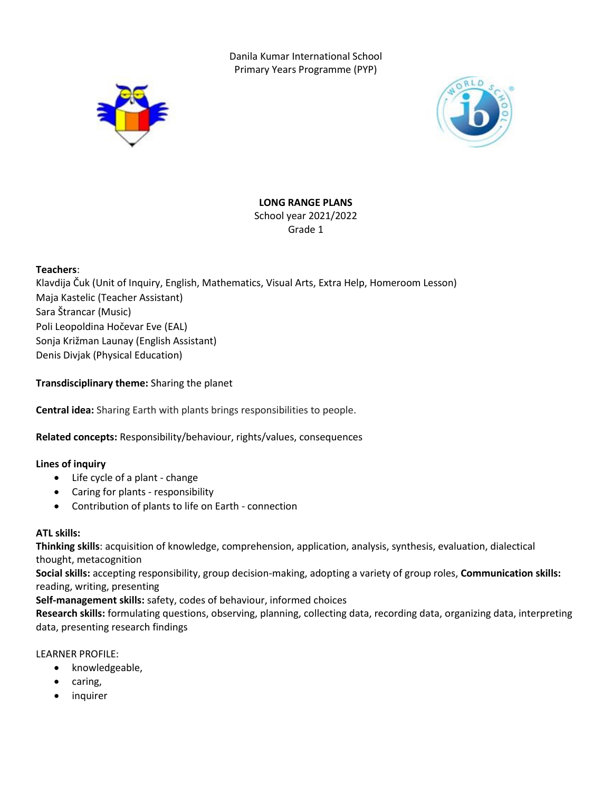Danila Kumar International School Primary Years Programme (PYP)





# **LONG RANGE PLANS**

School year 2021/2022 Grade 1

# **Teachers**:

Klavdija Čuk (Unit of Inquiry, English, Mathematics, Visual Arts, Extra Help, Homeroom Lesson) Maja Kastelic (Teacher Assistant) Sara Štrancar (Music) Poli Leopoldina Hočevar Eve (EAL) Sonja Križman Launay (English Assistant) Denis Divjak (Physical Education)

# **Transdisciplinary theme:** Sharing the planet

**Central idea:** Sharing Earth with plants brings responsibilities to people.

**Related concepts:** Responsibility/behaviour, rights/values, consequences

# **Lines of inquiry**

- Life cycle of a plant change
- Caring for plants responsibility
- Contribution of plants to life on Earth connection

# **ATL skills:**

**Thinking skills**: acquisition of knowledge, comprehension, application, analysis, synthesis, evaluation, dialectical thought, metacognition

**Social skills:** accepting responsibility, group decision-making, adopting a variety of group roles, **Communication skills:** reading, writing, presenting

**Self-management skills:** safety, codes of behaviour, informed choices

**Research skills:** formulating questions, observing, planning, collecting data, recording data, organizing data, interpreting data, presenting research findings

# LEARNER PROFILE:

- knowledgeable,
- caring,
- inquirer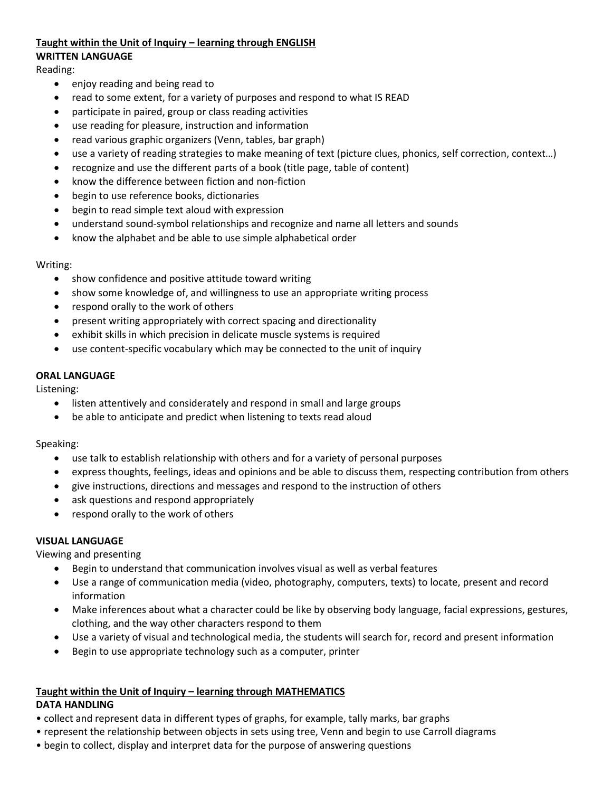# **Taught within the Unit of Inquiry – learning through ENGLISH**

### **WRITTEN LANGUAGE**

Reading:

- enjoy reading and being read to
- read to some extent, for a variety of purposes and respond to what IS READ
- participate in paired, group or class reading activities
- use reading for pleasure, instruction and information
- read various graphic organizers (Venn, tables, bar graph)
- use a variety of reading strategies to make meaning of text (picture clues, phonics, self correction, context…)
- recognize and use the different parts of a book (title page, table of content)
- know the difference between fiction and non-fiction
- begin to use reference books, dictionaries
- begin to read simple text aloud with expression
- understand sound-symbol relationships and recognize and name all letters and sounds
- know the alphabet and be able to use simple alphabetical order

# Writing:

- show confidence and positive attitude toward writing
- show some knowledge of, and willingness to use an appropriate writing process
- respond orally to the work of others
- present writing appropriately with correct spacing and directionality
- exhibit skills in which precision in delicate muscle systems is required
- use content-specific vocabulary which may be connected to the unit of inquiry

# **ORAL LANGUAGE**

Listening:

- listen attentively and considerately and respond in small and large groups
- be able to anticipate and predict when listening to texts read aloud

# Speaking:

- use talk to establish relationship with others and for a variety of personal purposes
- express thoughts, feelings, ideas and opinions and be able to discuss them, respecting contribution from others
- give instructions, directions and messages and respond to the instruction of others
- ask questions and respond appropriately
- respond orally to the work of others

# **VISUAL LANGUAGE**

Viewing and presenting

- Begin to understand that communication involves visual as well as verbal features
- Use a range of communication media (video, photography, computers, texts) to locate, present and record information
- Make inferences about what a character could be like by observing body language, facial expressions, gestures, clothing, and the way other characters respond to them
- Use a variety of visual and technological media, the students will search for, record and present information
- Begin to use appropriate technology such as a computer, printer

# **Taught within the Unit of Inquiry – learning through MATHEMATICS**

# **DATA HANDLING**

- collect and represent data in different types of graphs, for example, tally marks, bar graphs
- represent the relationship between objects in sets using tree, Venn and begin to use Carroll diagrams
- begin to collect, display and interpret data for the purpose of answering questions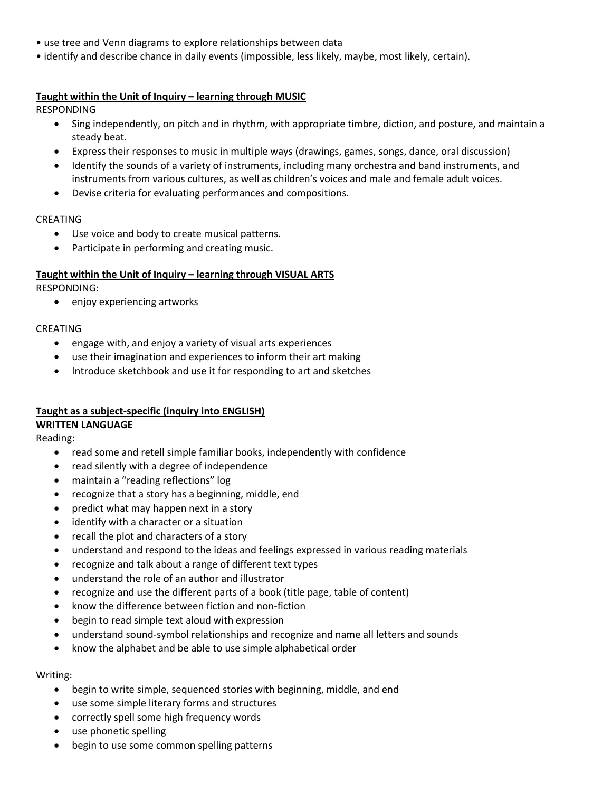- use tree and Venn diagrams to explore relationships between data
- identify and describe chance in daily events (impossible, less likely, maybe, most likely, certain).

# **Taught within the Unit of Inquiry – learning through MUSIC**

RESPONDING

- Sing independently, on pitch and in rhythm, with appropriate timbre, diction, and posture, and maintain a steady beat.
- Express their responses to music in multiple ways (drawings, games, songs, dance, oral discussion)
- Identify the sounds of a variety of instruments, including many orchestra and band instruments, and instruments from various cultures, as well as children's voices and male and female adult voices.
- Devise criteria for evaluating performances and compositions.

### CREATING

- Use voice and body to create musical patterns.
- Participate in performing and creating music.

### **Taught within the Unit of Inquiry – learning through VISUAL ARTS**

RESPONDING:

• enjoy experiencing artworks

#### CREATING

- engage with, and enjoy a variety of visual arts experiences
- use their imagination and experiences to inform their art making
- Introduce sketchbook and use it for responding to art and sketches

# **Taught as a subject-specific (inquiry into ENGLISH)**

#### **WRITTEN LANGUAGE**

Reading:

- read some and retell simple familiar books, independently with confidence
- read silently with a degree of independence
- maintain a "reading reflections" log
- recognize that a story has a beginning, middle, end
- predict what may happen next in a story
- identify with a character or a situation
- recall the plot and characters of a story
- understand and respond to the ideas and feelings expressed in various reading materials
- recognize and talk about a range of different text types
- understand the role of an author and illustrator
- recognize and use the different parts of a book (title page, table of content)
- know the difference between fiction and non-fiction
- begin to read simple text aloud with expression
- understand sound-symbol relationships and recognize and name all letters and sounds
- know the alphabet and be able to use simple alphabetical order

#### Writing:

- begin to write simple, sequenced stories with beginning, middle, and end
- use some simple literary forms and structures
- correctly spell some high frequency words
- use phonetic spelling
- begin to use some common spelling patterns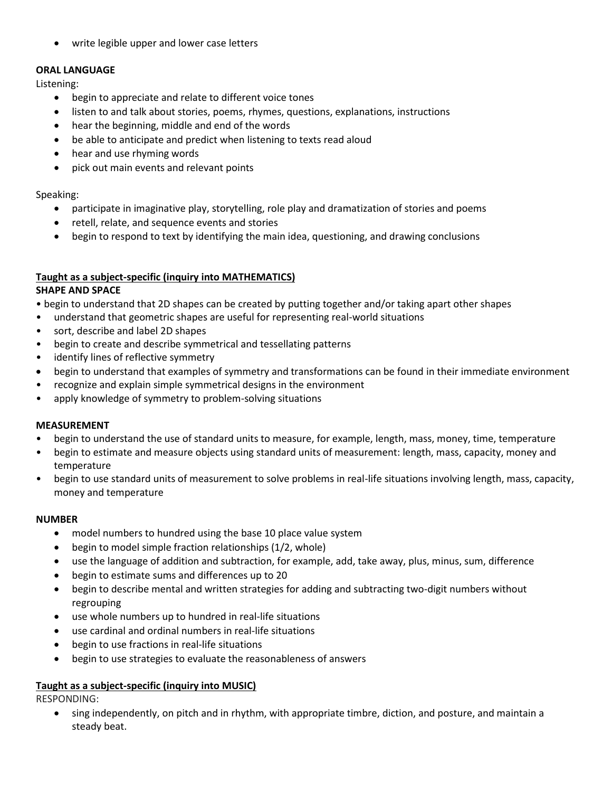write legible upper and lower case letters

# **ORAL LANGUAGE**

Listening:

- begin to appreciate and relate to different voice tones
- listen to and talk about stories, poems, rhymes, questions, explanations, instructions
- hear the beginning, middle and end of the words
- be able to anticipate and predict when listening to texts read aloud
- hear and use rhyming words
- pick out main events and relevant points

Speaking:

- participate in imaginative play, storytelling, role play and dramatization of stories and poems
- retell, relate, and sequence events and stories
- begin to respond to text by identifying the main idea, questioning, and drawing conclusions

# **Taught as a subject-specific (inquiry into MATHEMATICS)**

### **SHAPE AND SPACE**

• begin to understand that 2D shapes can be created by putting together and/or taking apart other shapes

- understand that geometric shapes are useful for representing real-world situations
- sort, describe and label 2D shapes
- begin to create and describe symmetrical and tessellating patterns
- identify lines of reflective symmetry
- begin to understand that examples of symmetry and transformations can be found in their immediate environment
- recognize and explain simple symmetrical designs in the environment
- apply knowledge of symmetry to problem-solving situations

# **MEASUREMENT**

- begin to understand the use of standard units to measure, for example, length, mass, money, time, temperature
- begin to estimate and measure objects using standard units of measurement: length, mass, capacity, money and temperature
- begin to use standard units of measurement to solve problems in real-life situations involving length, mass, capacity, money and temperature

# **NUMBER**

- model numbers to hundred using the base 10 place value system
- begin to model simple fraction relationships (1/2, whole)
- use the language of addition and subtraction, for example, add, take away, plus, minus, sum, difference
- begin to estimate sums and differences up to 20
- begin to describe mental and written strategies for adding and subtracting two-digit numbers without regrouping
- use whole numbers up to hundred in real-life situations
- use cardinal and ordinal numbers in real-life situations
- begin to use fractions in real-life situations
- begin to use strategies to evaluate the reasonableness of answers

# **Taught as a subject-specific (inquiry into MUSIC)**

RESPONDING:

 sing independently, on pitch and in rhythm, with appropriate timbre, diction, and posture, and maintain a steady beat.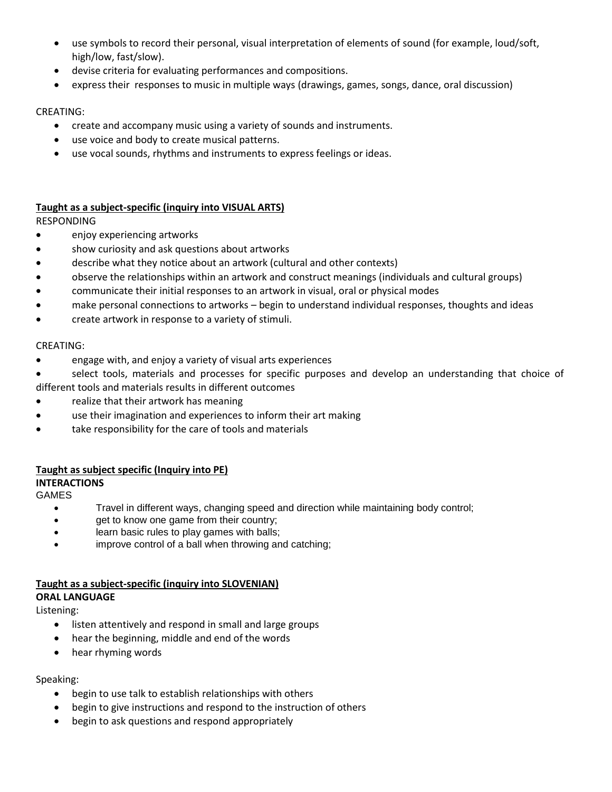- use symbols to record their personal, visual interpretation of elements of sound (for example, loud/soft, high/low, fast/slow).
- devise criteria for evaluating performances and compositions.
- express their responses to music in multiple ways (drawings, games, songs, dance, oral discussion)

# CREATING:

- create and accompany music using a variety of sounds and instruments.
- use voice and body to create musical patterns.
- use vocal sounds, rhythms and instruments to express feelings or ideas.

# **Taught as a subject-specific (inquiry into VISUAL ARTS)**

RESPONDING

- **•** enjoy experiencing artworks
- show curiosity and ask questions about artworks
- describe what they notice about an artwork (cultural and other contexts)
- observe the relationships within an artwork and construct meanings (individuals and cultural groups)
- communicate their initial responses to an artwork in visual, oral or physical modes
- make personal connections to artworks begin to understand individual responses, thoughts and ideas
- create artwork in response to a variety of stimuli.

### CREATING:

- engage with, and enjoy a variety of visual arts experiences
- select tools, materials and processes for specific purposes and develop an understanding that choice of different tools and materials results in different outcomes
- realize that their artwork has meaning
- use their imagination and experiences to inform their art making
- take responsibility for the care of tools and materials

# **Taught as subject specific (Inquiry into PE)**

# **INTERACTIONS**

GAMES

- Travel in different ways, changing speed and direction while maintaining body control;
- get to know one game from their country;
- learn basic rules to play games with balls;
- improve control of a ball when throwing and catching;

# **Taught as a subject-specific (inquiry into SLOVENIAN)**

# **ORAL LANGUAGE**

Listening:

- listen attentively and respond in small and large groups
- hear the beginning, middle and end of the words
- hear rhyming words

# Speaking:

- begin to use talk to establish relationships with others
- begin to give instructions and respond to the instruction of others
- begin to ask questions and respond appropriately